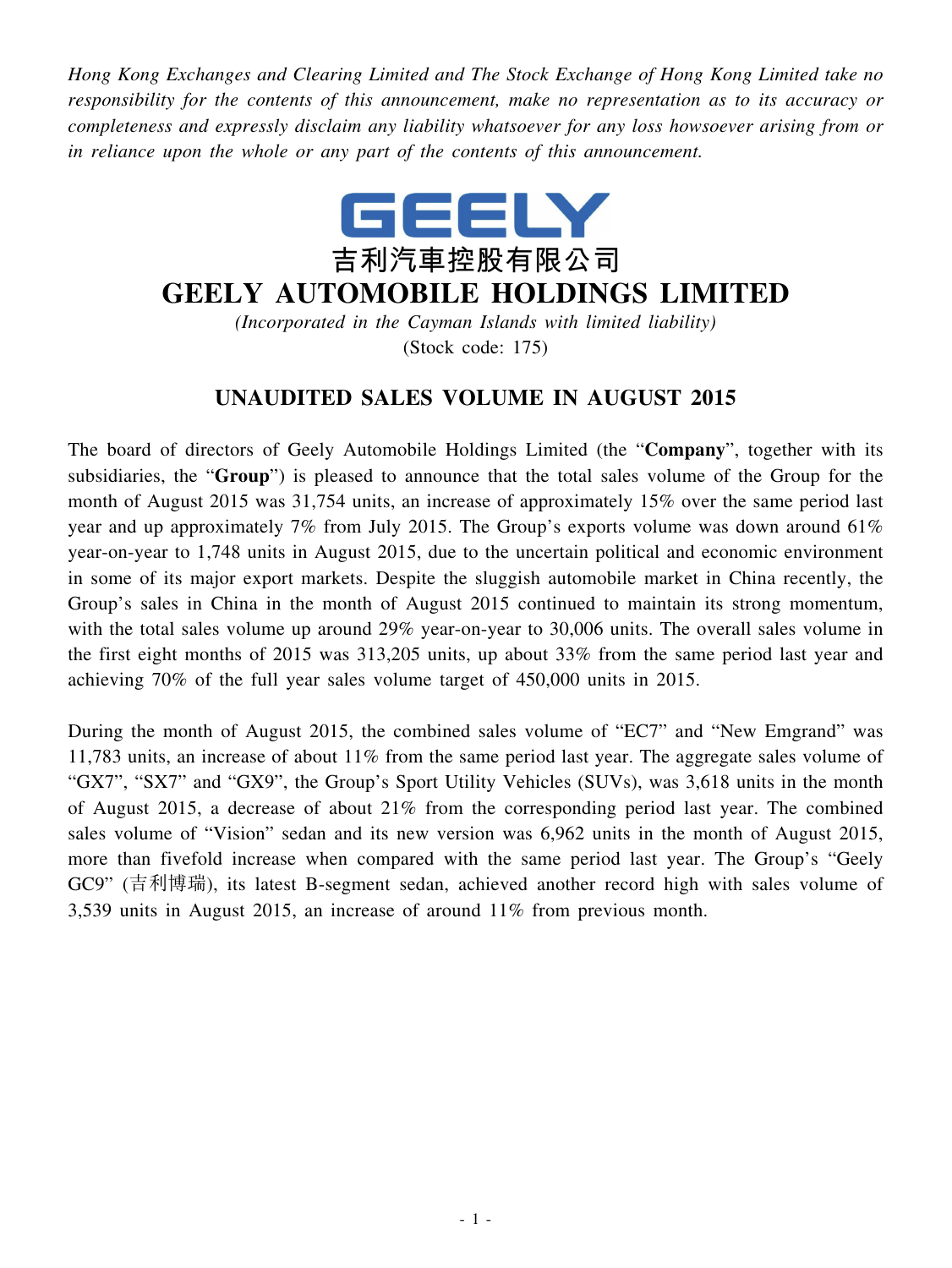*Hong Kong Exchanges and Clearing Limited and The Stock Exchange of Hong Kong Limited take no responsibility for the contents of this announcement, make no representation as to its accuracy or completeness and expressly disclaim any liability whatsoever for any loss howsoever arising from or in reliance upon the whole or any part of the contents of this announcement.*



## **GEELY AUTOMOBILE HOLDINGS LIMITED**

*(Incorporated in the Cayman Islands with limited liability)* (Stock code: 175)

## **UNAUDITED SALES VOLUME IN AUGUST 2015**

The board of directors of Geely Automobile Holdings Limited (the "**Company**", together with its subsidiaries, the "**Group**") is pleased to announce that the total sales volume of the Group for the month of August 2015 was 31,754 units, an increase of approximately 15% over the same period last year and up approximately 7% from July 2015. The Group's exports volume was down around 61% year-on-year to 1,748 units in August 2015, due to the uncertain political and economic environment in some of its major export markets. Despite the sluggish automobile market in China recently, the Group's sales in China in the month of August 2015 continued to maintain its strong momentum, with the total sales volume up around 29% year-on-year to 30,006 units. The overall sales volume in the first eight months of 2015 was 313,205 units, up about 33% from the same period last year and achieving 70% of the full year sales volume target of 450,000 units in 2015.

During the month of August 2015, the combined sales volume of "EC7" and "New Emgrand" was 11,783 units, an increase of about 11% from the same period last year. The aggregate sales volume of "GX7", "SX7" and "GX9", the Group's Sport Utility Vehicles (SUVs), was 3,618 units in the month of August 2015, a decrease of about 21% from the corresponding period last year. The combined sales volume of "Vision" sedan and its new version was 6,962 units in the month of August 2015, more than fivefold increase when compared with the same period last year. The Group's "Geely GC9" (吉利博瑞), its latest B-segment sedan, achieved another record high with sales volume of 3,539 units in August 2015, an increase of around 11% from previous month.